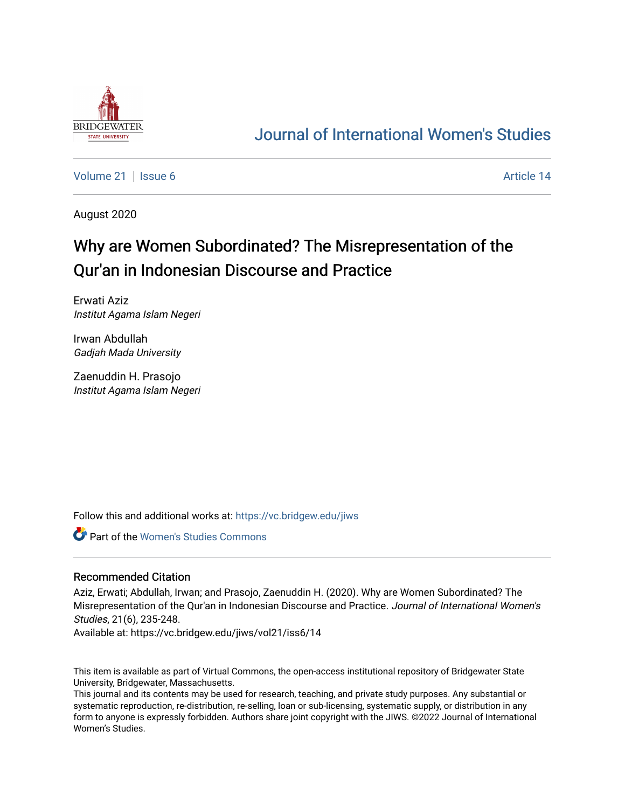

# [Journal of International Women's Studies](https://vc.bridgew.edu/jiws)

[Volume 21](https://vc.bridgew.edu/jiws/vol21) | [Issue 6](https://vc.bridgew.edu/jiws/vol21/iss6) Article 14

August 2020

# Why are Women Subordinated? The Misrepresentation of the Qur'an in Indonesian Discourse and Practice

Erwati Aziz Institut Agama Islam Negeri

Irwan Abdullah Gadjah Mada University

Zaenuddin H. Prasojo Institut Agama Islam Negeri

Follow this and additional works at: [https://vc.bridgew.edu/jiws](https://vc.bridgew.edu/jiws?utm_source=vc.bridgew.edu%2Fjiws%2Fvol21%2Fiss6%2F14&utm_medium=PDF&utm_campaign=PDFCoverPages)

Part of the [Women's Studies Commons](http://network.bepress.com/hgg/discipline/561?utm_source=vc.bridgew.edu%2Fjiws%2Fvol21%2Fiss6%2F14&utm_medium=PDF&utm_campaign=PDFCoverPages) 

#### Recommended Citation

Aziz, Erwati; Abdullah, Irwan; and Prasojo, Zaenuddin H. (2020). Why are Women Subordinated? The Misrepresentation of the Qur'an in Indonesian Discourse and Practice. Journal of International Women's Studies, 21(6), 235-248.

Available at: https://vc.bridgew.edu/jiws/vol21/iss6/14

This item is available as part of Virtual Commons, the open-access institutional repository of Bridgewater State University, Bridgewater, Massachusetts.

This journal and its contents may be used for research, teaching, and private study purposes. Any substantial or systematic reproduction, re-distribution, re-selling, loan or sub-licensing, systematic supply, or distribution in any form to anyone is expressly forbidden. Authors share joint copyright with the JIWS. ©2022 Journal of International Women's Studies.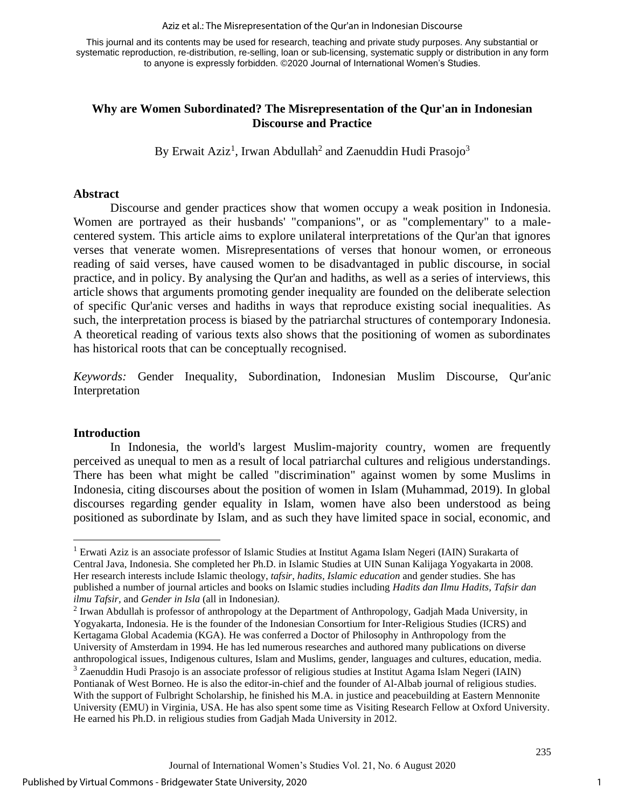Aziz et al.: The Misrepresentation of the Qur'an in Indonesian Discourse

This journal and its contents may be used for research, teaching and private study purposes. Any substantial or systematic reproduction, re-distribution, re-selling, loan or sub-licensing, systematic supply or distribution in any form to anyone is expressly forbidden. ©2020 Journal of International Women's Studies.

# **Why are Women Subordinated? The Misrepresentation of the Qur'an in Indonesian Discourse and Practice**

By Erwait Aziz<sup>1</sup>, Irwan Abdullah<sup>2</sup> and Zaenuddin Hudi Prasojo<sup>3</sup>

### **Abstract**

Discourse and gender practices show that women occupy a weak position in Indonesia. Women are portrayed as their husbands' "companions", or as "complementary" to a malecentered system. This article aims to explore unilateral interpretations of the Qur'an that ignores verses that venerate women. Misrepresentations of verses that honour women, or erroneous reading of said verses, have caused women to be disadvantaged in public discourse, in social practice, and in policy. By analysing the Qur'an and hadiths, as well as a series of interviews, this article shows that arguments promoting gender inequality are founded on the deliberate selection of specific Qur'anic verses and hadiths in ways that reproduce existing social inequalities. As such, the interpretation process is biased by the patriarchal structures of contemporary Indonesia. A theoretical reading of various texts also shows that the positioning of women as subordinates has historical roots that can be conceptually recognised.

*Keywords:* Gender Inequality, Subordination, Indonesian Muslim Discourse, Qur'anic Interpretation

### **Introduction**

In Indonesia, the world's largest Muslim-majority country, women are frequently perceived as unequal to men as a result of local patriarchal cultures and religious understandings. There has been what might be called "discrimination" against women by some Muslims in Indonesia, citing discourses about the position of women in Islam (Muhammad, 2019). In global discourses regarding gender equality in Islam, women have also been understood as being positioned as subordinate by Islam, and as such they have limited space in social, economic, and

<sup>&</sup>lt;sup>1</sup> Erwati Aziz is an associate professor of Islamic Studies at Institut Agama Islam Negeri (IAIN) Surakarta of Central Java, Indonesia. She completed her Ph.D. in Islamic Studies at UIN Sunan Kalijaga Yogyakarta in 2008. Her research interests include Islamic theology, *tafsir*, *hadits, Islamic education* and gender studies. She has published a number of journal articles and books on Islamic studies including *Hadits dan Ilmu Hadits, Tafsir dan ilmu Tafsir,* and *Gender in Isla* (all in Indonesian*).*

 $2$  Irwan Abdullah is professor of anthropology at the Department of Anthropology, Gadjah Mada University, in Yogyakarta, Indonesia. He is the founder of the Indonesian Consortium for Inter-Religious Studies (ICRS) and Kertagama Global Academia (KGA). He was conferred a Doctor of Philosophy in Anthropology from the University of Amsterdam in 1994. He has led numerous researches and authored many publications on diverse anthropological issues, Indigenous cultures, Islam and Muslims, gender, languages and cultures, education, media.

<sup>3</sup> Zaenuddin Hudi Prasojo is an associate professor of religious studies at Institut Agama Islam Negeri (IAIN) Pontianak of West Borneo. He is also the editor-in-chief and the founder of Al-Albab journal of religious studies. With the support of Fulbright Scholarship, he finished his M.A. in justice and peacebuilding at Eastern Mennonite University (EMU) in Virginia, USA. He has also spent some time as Visiting Research Fellow at Oxford University. He earned his Ph.D. in religious studies from Gadjah Mada University in 2012.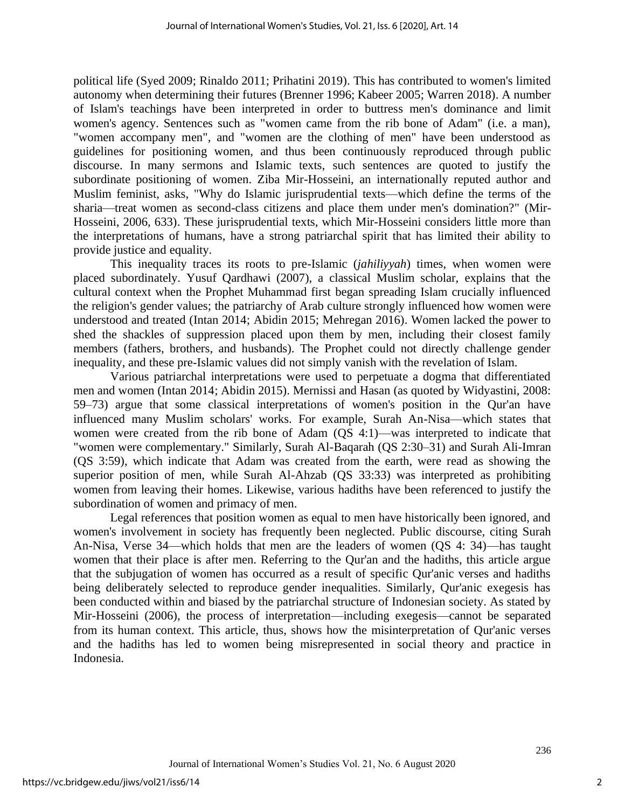political life (Syed 2009; Rinaldo 2011; Prihatini 2019). This has contributed to women's limited autonomy when determining their futures (Brenner 1996; Kabeer 2005; Warren 2018). A number of Islam's teachings have been interpreted in order to buttress men's dominance and limit women's agency. Sentences such as "women came from the rib bone of Adam" (i.e. a man), "women accompany men", and "women are the clothing of men" have been understood as guidelines for positioning women, and thus been continuously reproduced through public discourse. In many sermons and Islamic texts, such sentences are quoted to justify the subordinate positioning of women. Ziba Mir-Hosseini, an internationally reputed author and Muslim feminist, asks, "Why do Islamic jurisprudential texts—which define the terms of the sharia—treat women as second-class citizens and place them under men's domination?" (Mir-Hosseini, 2006, 633). These jurisprudential texts, which Mir-Hosseini considers little more than the interpretations of humans, have a strong patriarchal spirit that has limited their ability to provide justice and equality.

This inequality traces its roots to pre-Islamic (*jahiliyyah*) times, when women were placed subordinately. Yusuf Qardhawi (2007), a classical Muslim scholar, explains that the cultural context when the Prophet Muhammad first began spreading Islam crucially influenced the religion's gender values; the patriarchy of Arab culture strongly influenced how women were understood and treated (Intan 2014; Abidin 2015; Mehregan 2016). Women lacked the power to shed the shackles of suppression placed upon them by men, including their closest family members (fathers, brothers, and husbands). The Prophet could not directly challenge gender inequality, and these pre-Islamic values did not simply vanish with the revelation of Islam.

Various patriarchal interpretations were used to perpetuate a dogma that differentiated men and women (Intan 2014; Abidin 2015). Mernissi and Hasan (as quoted by Widyastini, 2008: 59–73) argue that some classical interpretations of women's position in the Qur'an have influenced many Muslim scholars' works. For example, Surah An-Nisa—which states that women were created from the rib bone of Adam (QS 4:1)—was interpreted to indicate that "women were complementary." Similarly, Surah Al-Baqarah (QS 2:30–31) and Surah Ali-Imran (QS 3:59), which indicate that Adam was created from the earth, were read as showing the superior position of men, while Surah Al-Ahzab (QS 33:33) was interpreted as prohibiting women from leaving their homes. Likewise, various hadiths have been referenced to justify the subordination of women and primacy of men.

Legal references that position women as equal to men have historically been ignored, and women's involvement in society has frequently been neglected. Public discourse, citing Surah An-Nisa, Verse 34—which holds that men are the leaders of women (QS 4: 34)—has taught women that their place is after men. Referring to the Qur'an and the hadiths, this article argue that the subjugation of women has occurred as a result of specific Qur'anic verses and hadiths being deliberately selected to reproduce gender inequalities. Similarly, Qur'anic exegesis has been conducted within and biased by the patriarchal structure of Indonesian society. As stated by Mir-Hosseini (2006), the process of interpretation—including exegesis—cannot be separated from its human context. This article, thus, shows how the misinterpretation of Qur'anic verses and the hadiths has led to women being misrepresented in social theory and practice in Indonesia.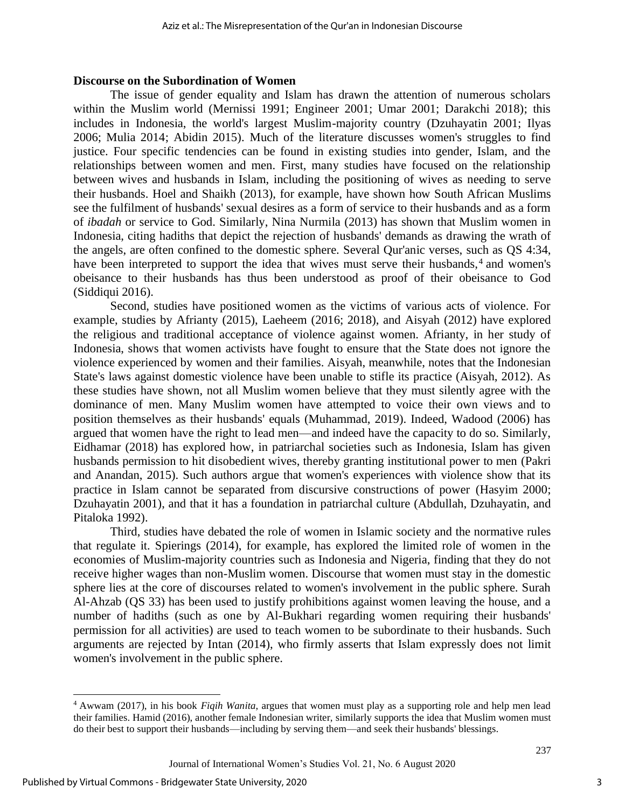#### **Discourse on the Subordination of Women**

The issue of gender equality and Islam has drawn the attention of numerous scholars within the Muslim world (Mernissi 1991; Engineer 2001; Umar 2001; Darakchi 2018); this includes in Indonesia, the world's largest Muslim-majority country (Dzuhayatin 2001; Ilyas 2006; Mulia 2014; Abidin 2015). Much of the literature discusses women's struggles to find justice. Four specific tendencies can be found in existing studies into gender, Islam, and the relationships between women and men. First, many studies have focused on the relationship between wives and husbands in Islam, including the positioning of wives as needing to serve their husbands. Hoel and Shaikh (2013), for example, have shown how South African Muslims see the fulfilment of husbands' sexual desires as a form of service to their husbands and as a form of *ibadah* or service to God. Similarly, Nina Nurmila (2013) has shown that Muslim women in Indonesia, citing hadiths that depict the rejection of husbands' demands as drawing the wrath of the angels, are often confined to the domestic sphere. Several Qur'anic verses, such as QS 4:34, have been interpreted to support the idea that wives must serve their husbands,<sup>4</sup> and women's obeisance to their husbands has thus been understood as proof of their obeisance to God (Siddiqui 2016).

Second, studies have positioned women as the victims of various acts of violence. For example, studies by Afrianty (2015), Laeheem (2016; 2018), and Aisyah (2012) have explored the religious and traditional acceptance of violence against women. Afrianty, in her study of Indonesia, shows that women activists have fought to ensure that the State does not ignore the violence experienced by women and their families. Aisyah, meanwhile, notes that the Indonesian State's laws against domestic violence have been unable to stifle its practice (Aisyah, 2012). As these studies have shown, not all Muslim women believe that they must silently agree with the dominance of men. Many Muslim women have attempted to voice their own views and to position themselves as their husbands' equals (Muhammad, 2019). Indeed, Wadood (2006) has argued that women have the right to lead men—and indeed have the capacity to do so. Similarly, Eidhamar (2018) has explored how, in patriarchal societies such as Indonesia, Islam has given husbands permission to hit disobedient wives, thereby granting institutional power to men (Pakri and Anandan, 2015). Such authors argue that women's experiences with violence show that its practice in Islam cannot be separated from discursive constructions of power (Hasyim 2000; Dzuhayatin 2001), and that it has a foundation in patriarchal culture (Abdullah, Dzuhayatin, and Pitaloka 1992).

Third, studies have debated the role of women in Islamic society and the normative rules that regulate it. Spierings (2014), for example, has explored the limited role of women in the economies of Muslim-majority countries such as Indonesia and Nigeria, finding that they do not receive higher wages than non-Muslim women. Discourse that women must stay in the domestic sphere lies at the core of discourses related to women's involvement in the public sphere. Surah Al-Ahzab (QS 33) has been used to justify prohibitions against women leaving the house, and a number of hadiths (such as one by Al-Bukhari regarding women requiring their husbands' permission for all activities) are used to teach women to be subordinate to their husbands. Such arguments are rejected by Intan (2014), who firmly asserts that Islam expressly does not limit women's involvement in the public sphere.

<sup>4</sup> Awwam (2017), in his book *Fiqih Wanita*, argues that women must play as a supporting role and help men lead their families. Hamid (2016), another female Indonesian writer, similarly supports the idea that Muslim women must do their best to support their husbands—including by serving them—and seek their husbands' blessings.

Journal of International Women's Studies Vol. 21, No. 6 August 2020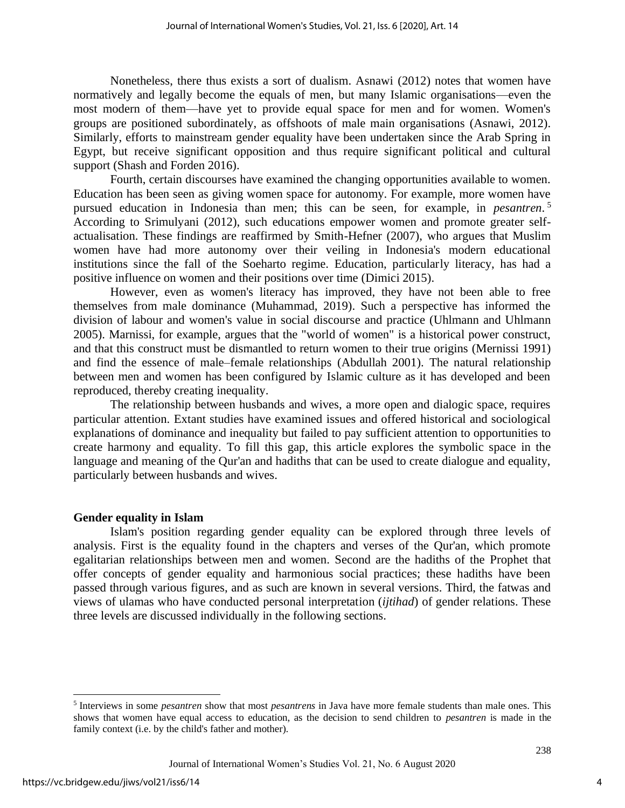Nonetheless, there thus exists a sort of dualism. Asnawi (2012) notes that women have normatively and legally become the equals of men, but many Islamic organisations—even the most modern of them—have yet to provide equal space for men and for women. Women's groups are positioned subordinately, as offshoots of male main organisations (Asnawi, 2012). Similarly, efforts to mainstream gender equality have been undertaken since the Arab Spring in Egypt, but receive significant opposition and thus require significant political and cultural support (Shash and Forden 2016).

Fourth, certain discourses have examined the changing opportunities available to women. Education has been seen as giving women space for autonomy. For example, more women have pursued education in Indonesia than men; this can be seen, for example, in *pesantren*. 5 According to Srimulyani (2012), such educations empower women and promote greater selfactualisation. These findings are reaffirmed by Smith-Hefner (2007), who argues that Muslim women have had more autonomy over their veiling in Indonesia's modern educational institutions since the fall of the Soeharto regime. Education, particularly literacy, has had a positive influence on women and their positions over time (Dimici 2015).

However, even as women's literacy has improved, they have not been able to free themselves from male dominance (Muhammad, 2019). Such a perspective has informed the division of labour and women's value in social discourse and practice (Uhlmann and Uhlmann 2005). Marnissi, for example, argues that the "world of women" is a historical power construct, and that this construct must be dismantled to return women to their true origins (Mernissi 1991) and find the essence of male–female relationships (Abdullah 2001). The natural relationship between men and women has been configured by Islamic culture as it has developed and been reproduced, thereby creating inequality.

The relationship between husbands and wives, a more open and dialogic space, requires particular attention. Extant studies have examined issues and offered historical and sociological explanations of dominance and inequality but failed to pay sufficient attention to opportunities to create harmony and equality. To fill this gap, this article explores the symbolic space in the language and meaning of the Qur'an and hadiths that can be used to create dialogue and equality, particularly between husbands and wives.

### **Gender equality in Islam**

Islam's position regarding gender equality can be explored through three levels of analysis. First is the equality found in the chapters and verses of the Qur'an, which promote egalitarian relationships between men and women. Second are the hadiths of the Prophet that offer concepts of gender equality and harmonious social practices; these hadiths have been passed through various figures, and as such are known in several versions. Third, the fatwas and views of ulamas who have conducted personal interpretation (*ijtihad*) of gender relations. These three levels are discussed individually in the following sections.

<sup>5</sup> Interviews in some *pesantren* show that most *pesantrens* in Java have more female students than male ones. This shows that women have equal access to education, as the decision to send children to *pesantren* is made in the family context (i.e. by the child's father and mother).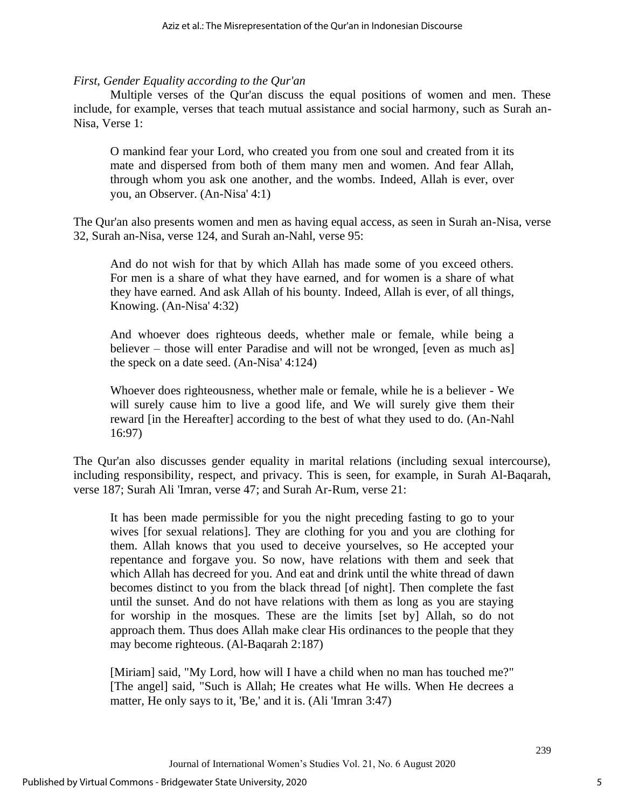#### *First, Gender Equality according to the Qur'an*

Multiple verses of the Qur'an discuss the equal positions of women and men. These include, for example, verses that teach mutual assistance and social harmony, such as Surah an-Nisa, Verse 1:

O mankind fear your Lord, who created you from one soul and created from it its mate and dispersed from both of them many men and women. And fear Allah, through whom you ask one another, and the wombs. Indeed, Allah is ever, over you, an Observer. (An-Nisa' 4:1)

The Qur'an also presents women and men as having equal access, as seen in Surah an-Nisa, verse 32, Surah an-Nisa, verse 124, and Surah an-Nahl, verse 95:

And do not wish for that by which Allah has made some of you exceed others. For men is a share of what they have earned, and for women is a share of what they have earned. And ask Allah of his bounty. Indeed, Allah is ever, of all things, Knowing. (An-Nisa' 4:32)

And whoever does righteous deeds, whether male or female, while being a believer – those will enter Paradise and will not be wronged, [even as much as] the speck on a date seed. (An-Nisa' 4:124)

Whoever does righteousness, whether male or female, while he is a believer - We will surely cause him to live a good life, and We will surely give them their reward [in the Hereafter] according to the best of what they used to do. (An-Nahl 16:97)

The Qur'an also discusses gender equality in marital relations (including sexual intercourse), including responsibility, respect, and privacy. This is seen, for example, in Surah Al-Baqarah, verse 187; Surah Ali 'Imran, verse 47; and Surah Ar-Rum, verse 21:

It has been made permissible for you the night preceding fasting to go to your wives [for sexual relations]. They are clothing for you and you are clothing for them. Allah knows that you used to deceive yourselves, so He accepted your repentance and forgave you. So now, have relations with them and seek that which Allah has decreed for you. And eat and drink until the white thread of dawn becomes distinct to you from the black thread [of night]. Then complete the fast until the sunset. And do not have relations with them as long as you are staying for worship in the mosques. These are the limits [set by] Allah, so do not approach them. Thus does Allah make clear His ordinances to the people that they may become righteous. (Al-Baqarah 2:187)

[Miriam] said, "My Lord, how will I have a child when no man has touched me?" [The angel] said, "Such is Allah; He creates what He wills. When He decrees a matter, He only says to it, 'Be,' and it is. (Ali 'Imran 3:47)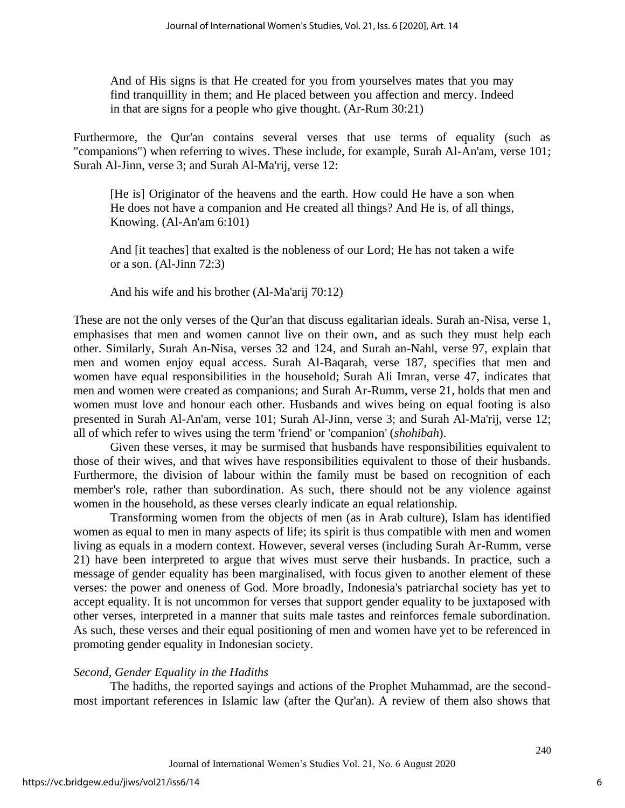And of His signs is that He created for you from yourselves mates that you may find tranquillity in them; and He placed between you affection and mercy. Indeed in that are signs for a people who give thought. (Ar-Rum 30:21)

Furthermore, the Qur'an contains several verses that use terms of equality (such as "companions") when referring to wives. These include, for example, Surah Al-An'am, verse 101; Surah Al-Jinn, verse 3; and Surah Al-Ma'rij, verse 12:

[He is] Originator of the heavens and the earth. How could He have a son when He does not have a companion and He created all things? And He is, of all things, Knowing. (Al-An'am 6:101)

And [it teaches] that exalted is the nobleness of our Lord; He has not taken a wife or a son. (Al-Jinn 72:3)

And his wife and his brother (Al-Ma'arij 70:12)

These are not the only verses of the Qur'an that discuss egalitarian ideals. Surah an-Nisa, verse 1, emphasises that men and women cannot live on their own, and as such they must help each other. Similarly, Surah An-Nisa, verses 32 and 124, and Surah an-Nahl, verse 97, explain that men and women enjoy equal access. Surah Al-Baqarah, verse 187, specifies that men and women have equal responsibilities in the household; Surah Ali Imran, verse 47, indicates that men and women were created as companions; and Surah Ar-Rumm, verse 21, holds that men and women must love and honour each other. Husbands and wives being on equal footing is also presented in Surah Al-An'am, verse 101; Surah Al-Jinn, verse 3; and Surah Al-Ma'rij, verse 12; all of which refer to wives using the term 'friend' or 'companion' (*shohibah*).

Given these verses, it may be surmised that husbands have responsibilities equivalent to those of their wives, and that wives have responsibilities equivalent to those of their husbands. Furthermore, the division of labour within the family must be based on recognition of each member's role, rather than subordination. As such, there should not be any violence against women in the household, as these verses clearly indicate an equal relationship.

Transforming women from the objects of men (as in Arab culture), Islam has identified women as equal to men in many aspects of life; its spirit is thus compatible with men and women living as equals in a modern context. However, several verses (including Surah Ar-Rumm, verse 21) have been interpreted to argue that wives must serve their husbands. In practice, such a message of gender equality has been marginalised, with focus given to another element of these verses: the power and oneness of God. More broadly, Indonesia's patriarchal society has yet to accept equality. It is not uncommon for verses that support gender equality to be juxtaposed with other verses, interpreted in a manner that suits male tastes and reinforces female subordination. As such, these verses and their equal positioning of men and women have yet to be referenced in promoting gender equality in Indonesian society.

### *Second, Gender Equality in the Hadiths*

The hadiths, the reported sayings and actions of the Prophet Muhammad, are the secondmost important references in Islamic law (after the Qur'an). A review of them also shows that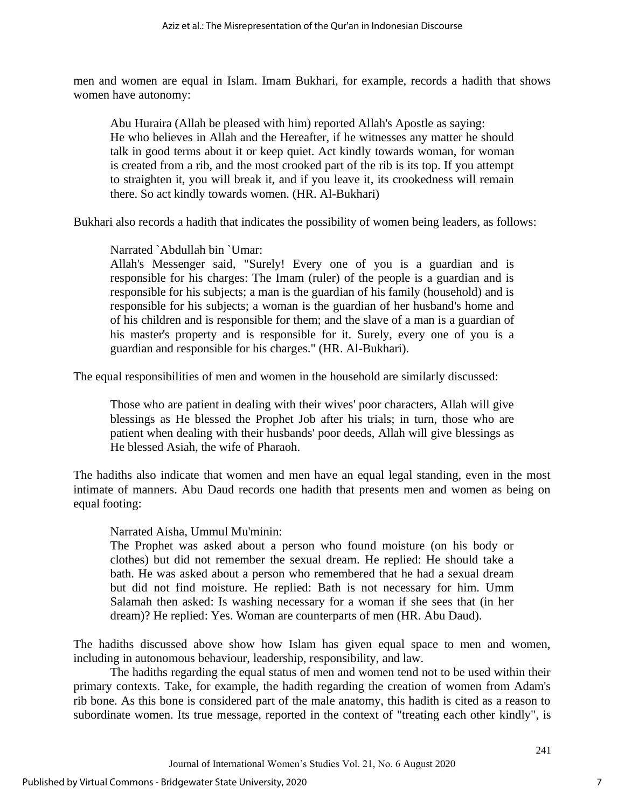men and women are equal in Islam. Imam Bukhari, for example, records a hadith that shows women have autonomy:

Abu Huraira (Allah be pleased with him) reported Allah's Apostle as saying: He who believes in Allah and the Hereafter, if he witnesses any matter he should talk in good terms about it or keep quiet. Act kindly towards woman, for woman is created from a rib, and the most crooked part of the rib is its top. If you attempt to straighten it, you will break it, and if you leave it, its crookedness will remain there. So act kindly towards women. (HR. Al-Bukhari)

Bukhari also records a hadith that indicates the possibility of women being leaders, as follows:

Narrated `Abdullah bin `Umar:

Allah's Messenger said, "Surely! Every one of you is a guardian and is responsible for his charges: The Imam (ruler) of the people is a guardian and is responsible for his subjects; a man is the guardian of his family (household) and is responsible for his subjects; a woman is the guardian of her husband's home and of his children and is responsible for them; and the slave of a man is a guardian of his master's property and is responsible for it. Surely, every one of you is a guardian and responsible for his charges." (HR. Al-Bukhari).

The equal responsibilities of men and women in the household are similarly discussed:

Those who are patient in dealing with their wives' poor characters, Allah will give blessings as He blessed the Prophet Job after his trials; in turn, those who are patient when dealing with their husbands' poor deeds, Allah will give blessings as He blessed Asiah, the wife of Pharaoh.

The hadiths also indicate that women and men have an equal legal standing, even in the most intimate of manners. Abu Daud records one hadith that presents men and women as being on equal footing:

Narrated Aisha, Ummul Mu'minin:

The Prophet was asked about a person who found moisture (on his body or clothes) but did not remember the sexual dream. He replied: He should take a bath. He was asked about a person who remembered that he had a sexual dream but did not find moisture. He replied: Bath is not necessary for him. Umm Salamah then asked: Is washing necessary for a woman if she sees that (in her dream)? He replied: Yes. Woman are counterparts of men (HR. Abu Daud).

The hadiths discussed above show how Islam has given equal space to men and women, including in autonomous behaviour, leadership, responsibility, and law.

The hadiths regarding the equal status of men and women tend not to be used within their primary contexts. Take, for example, the hadith regarding the creation of women from Adam's rib bone. As this bone is considered part of the male anatomy, this hadith is cited as a reason to subordinate women. Its true message, reported in the context of "treating each other kindly", is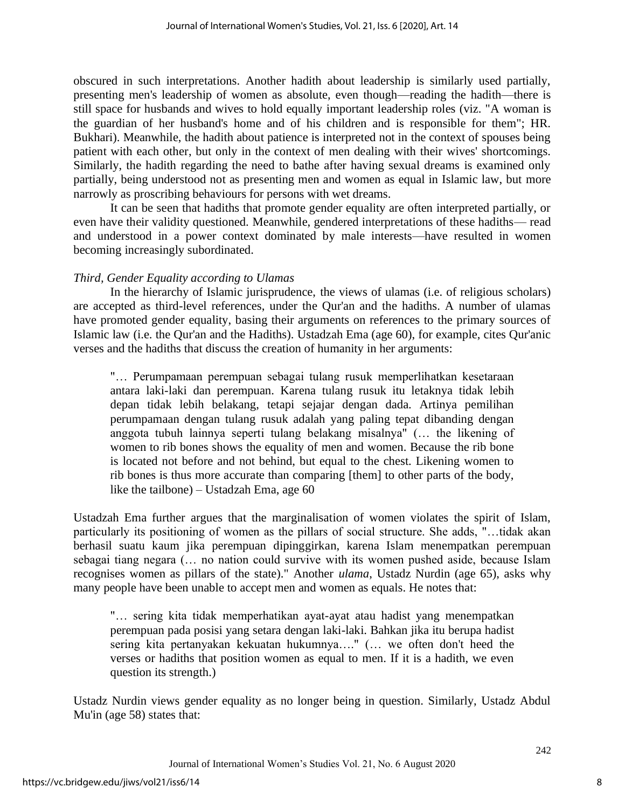obscured in such interpretations. Another hadith about leadership is similarly used partially, presenting men's leadership of women as absolute, even though—reading the hadith—there is still space for husbands and wives to hold equally important leadership roles (viz. "A woman is the guardian of her husband's home and of his children and is responsible for them"; HR. Bukhari). Meanwhile, the hadith about patience is interpreted not in the context of spouses being patient with each other, but only in the context of men dealing with their wives' shortcomings. Similarly, the hadith regarding the need to bathe after having sexual dreams is examined only partially, being understood not as presenting men and women as equal in Islamic law, but more narrowly as proscribing behaviours for persons with wet dreams.

It can be seen that hadiths that promote gender equality are often interpreted partially, or even have their validity questioned. Meanwhile, gendered interpretations of these hadiths— read and understood in a power context dominated by male interests—have resulted in women becoming increasingly subordinated.

# *Third, Gender Equality according to Ulamas*

In the hierarchy of Islamic jurisprudence, the views of ulamas (i.e. of religious scholars) are accepted as third-level references, under the Qur'an and the hadiths. A number of ulamas have promoted gender equality, basing their arguments on references to the primary sources of Islamic law (i.e. the Qur'an and the Hadiths). Ustadzah Ema (age 60), for example, cites Qur'anic verses and the hadiths that discuss the creation of humanity in her arguments:

"… Perumpamaan perempuan sebagai tulang rusuk memperlihatkan kesetaraan antara laki-laki dan perempuan. Karena tulang rusuk itu letaknya tidak lebih depan tidak lebih belakang, tetapi sejajar dengan dada. Artinya pemilihan perumpamaan dengan tulang rusuk adalah yang paling tepat dibanding dengan anggota tubuh lainnya seperti tulang belakang misalnya" (… the likening of women to rib bones shows the equality of men and women. Because the rib bone is located not before and not behind, but equal to the chest. Likening women to rib bones is thus more accurate than comparing [them] to other parts of the body, like the tailbone) – Ustadzah Ema, age 60

Ustadzah Ema further argues that the marginalisation of women violates the spirit of Islam, particularly its positioning of women as the pillars of social structure. She adds, "…tidak akan berhasil suatu kaum jika perempuan dipinggirkan, karena Islam menempatkan perempuan sebagai tiang negara (… no nation could survive with its women pushed aside, because Islam recognises women as pillars of the state)." Another *ulama*, Ustadz Nurdin (age 65), asks why many people have been unable to accept men and women as equals. He notes that:

"… sering kita tidak memperhatikan ayat-ayat atau hadist yang menempatkan perempuan pada posisi yang setara dengan laki-laki. Bahkan jika itu berupa hadist sering kita pertanyakan kekuatan hukumnya…." (… we often don't heed the verses or hadiths that position women as equal to men. If it is a hadith, we even question its strength.)

Ustadz Nurdin views gender equality as no longer being in question. Similarly, Ustadz Abdul Mu'in (age 58) states that: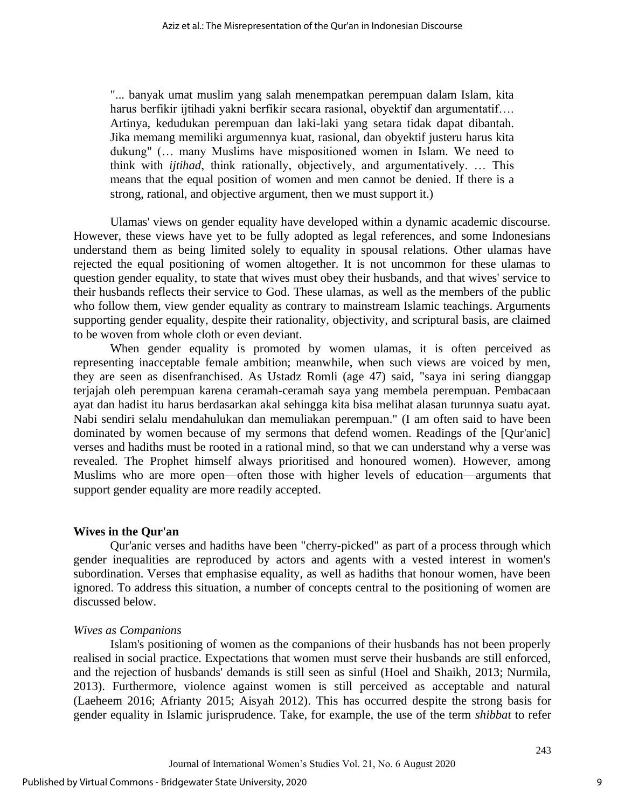"... banyak umat muslim yang salah menempatkan perempuan dalam Islam, kita harus berfikir ijtihadi yakni berfikir secara rasional, obyektif dan argumentatif…. Artinya, kedudukan perempuan dan laki-laki yang setara tidak dapat dibantah. Jika memang memiliki argumennya kuat, rasional, dan obyektif justeru harus kita dukung" (… many Muslims have mispositioned women in Islam. We need to think with *ijtihad*, think rationally, objectively, and argumentatively. … This means that the equal position of women and men cannot be denied. If there is a strong, rational, and objective argument, then we must support it.)

Ulamas' views on gender equality have developed within a dynamic academic discourse. However, these views have yet to be fully adopted as legal references, and some Indonesians understand them as being limited solely to equality in spousal relations. Other ulamas have rejected the equal positioning of women altogether. It is not uncommon for these ulamas to question gender equality, to state that wives must obey their husbands, and that wives' service to their husbands reflects their service to God. These ulamas, as well as the members of the public who follow them, view gender equality as contrary to mainstream Islamic teachings. Arguments supporting gender equality, despite their rationality, objectivity, and scriptural basis, are claimed to be woven from whole cloth or even deviant.

When gender equality is promoted by women ulamas, it is often perceived as representing inacceptable female ambition; meanwhile, when such views are voiced by men, they are seen as disenfranchised. As Ustadz Romli (age 47) said, "saya ini sering dianggap terjajah oleh perempuan karena ceramah-ceramah saya yang membela perempuan. Pembacaan ayat dan hadist itu harus berdasarkan akal sehingga kita bisa melihat alasan turunnya suatu ayat. Nabi sendiri selalu mendahulukan dan memuliakan perempuan." (I am often said to have been dominated by women because of my sermons that defend women. Readings of the [Qur'anic] verses and hadiths must be rooted in a rational mind, so that we can understand why a verse was revealed. The Prophet himself always prioritised and honoured women). However, among Muslims who are more open—often those with higher levels of education—arguments that support gender equality are more readily accepted.

#### **Wives in the Qur'an**

Qur'anic verses and hadiths have been "cherry-picked" as part of a process through which gender inequalities are reproduced by actors and agents with a vested interest in women's subordination. Verses that emphasise equality, as well as hadiths that honour women, have been ignored. To address this situation, a number of concepts central to the positioning of women are discussed below.

#### *Wives as Companions*

Islam's positioning of women as the companions of their husbands has not been properly realised in social practice. Expectations that women must serve their husbands are still enforced, and the rejection of husbands' demands is still seen as sinful (Hoel and Shaikh, 2013; Nurmila, 2013). Furthermore, violence against women is still perceived as acceptable and natural (Laeheem 2016; Afrianty 2015; Aisyah 2012). This has occurred despite the strong basis for gender equality in Islamic jurisprudence. Take, for example, the use of the term *shibbat* to refer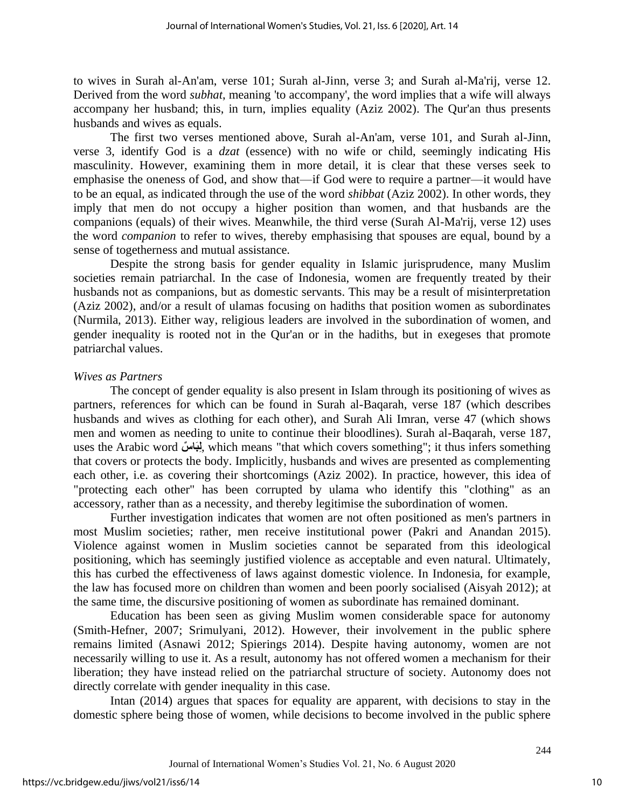to wives in Surah al-An'am, verse 101; Surah al-Jinn, verse 3; and Surah al-Ma'rij, verse 12. Derived from the word *subhat*, meaning 'to accompany', the word implies that a wife will always accompany her husband; this, in turn, implies equality (Aziz 2002). The Qur'an thus presents husbands and wives as equals.

The first two verses mentioned above, Surah al-An'am, verse 101, and Surah al-Jinn, verse 3, identify God is a *dzat* (essence) with no wife or child, seemingly indicating His masculinity. However, examining them in more detail, it is clear that these verses seek to emphasise the oneness of God, and show that—if God were to require a partner—it would have to be an equal, as indicated through the use of the word *shibbat* (Aziz 2002). In other words, they imply that men do not occupy a higher position than women, and that husbands are the companions (equals) of their wives. Meanwhile, the third verse (Surah Al-Ma'rij, verse 12) uses the word *companion* to refer to wives, thereby emphasising that spouses are equal, bound by a sense of togetherness and mutual assistance.

Despite the strong basis for gender equality in Islamic jurisprudence, many Muslim societies remain patriarchal. In the case of Indonesia, women are frequently treated by their husbands not as companions, but as domestic servants. This may be a result of misinterpretation (Aziz 2002), and/or a result of ulamas focusing on hadiths that position women as subordinates (Nurmila, 2013). Either way, religious leaders are involved in the subordination of women, and gender inequality is rooted not in the Qur'an or in the hadiths, but in exegeses that promote patriarchal values.

### *Wives as Partners*

The concept of gender equality is also present in Islam through its positioning of wives as partners, references for which can be found in Surah al-Baqarah, verse 187 (which describes husbands and wives as clothing for each other), and Surah Ali Imran, verse 47 (which shows men and women as needing to unite to continue their bloodlines). Surah al-Baqarah, verse 187, uses the Arabic word بِلبَاسٌ, which means "that which covers something"; it thus infers something that covers or protects the body. Implicitly, husbands and wives are presented as complementing each other, i.e. as covering their shortcomings (Aziz 2002). In practice, however, this idea of "protecting each other" has been corrupted by ulama who identify this "clothing" as an accessory, rather than as a necessity, and thereby legitimise the subordination of women.

Further investigation indicates that women are not often positioned as men's partners in most Muslim societies; rather, men receive institutional power (Pakri and Anandan 2015). Violence against women in Muslim societies cannot be separated from this ideological positioning, which has seemingly justified violence as acceptable and even natural. Ultimately, this has curbed the effectiveness of laws against domestic violence. In Indonesia, for example, the law has focused more on children than women and been poorly socialised (Aisyah 2012); at the same time, the discursive positioning of women as subordinate has remained dominant.

Education has been seen as giving Muslim women considerable space for autonomy (Smith-Hefner, 2007; Srimulyani, 2012). However, their involvement in the public sphere remains limited (Asnawi 2012; Spierings 2014). Despite having autonomy, women are not necessarily willing to use it. As a result, autonomy has not offered women a mechanism for their liberation; they have instead relied on the patriarchal structure of society. Autonomy does not directly correlate with gender inequality in this case.

Intan (2014) argues that spaces for equality are apparent, with decisions to stay in the domestic sphere being those of women, while decisions to become involved in the public sphere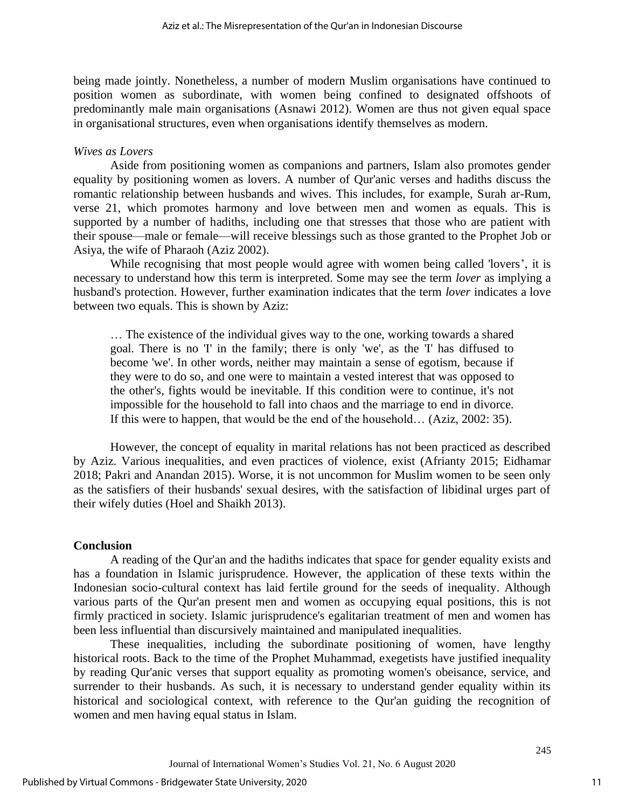being made jointly. Nonetheless, a number of modern Muslim organisations have continued to position women as subordinate, with women being confined to designated offshoots of predominantly male main organisations (Asnawi 2012). Women are thus not given equal space in organisational structures, even when organisations identify themselves as modern.

#### *Wives as Lovers*

Aside from positioning women as companions and partners, Islam also promotes gender equality by positioning women as lovers. A number of Qur'anic verses and hadiths discuss the romantic relationship between husbands and wives. This includes, for example, Surah ar-Rum, verse 21, which promotes harmony and love between men and women as equals. This is supported by a number of hadiths, including one that stresses that those who are patient with their spouse—male or female—will receive blessings such as those granted to the Prophet Job or Asiya, the wife of Pharaoh (Aziz 2002).

While recognising that most people would agree with women being called 'lovers', it is necessary to understand how this term is interpreted. Some may see the term *lover* as implying a husband's protection. However, further examination indicates that the term *lover* indicates a love between two equals. This is shown by Aziz:

… The existence of the individual gives way to the one, working towards a shared goal. There is no 'I' in the family; there is only 'we', as the 'I' has diffused to become 'we'. In other words, neither may maintain a sense of egotism, because if they were to do so, and one were to maintain a vested interest that was opposed to the other's, fights would be inevitable. If this condition were to continue, it's not impossible for the household to fall into chaos and the marriage to end in divorce. If this were to happen, that would be the end of the household… (Aziz, 2002: 35).

However, the concept of equality in marital relations has not been practiced as described by Aziz. Various inequalities, and even practices of violence, exist (Afrianty 2015; Eidhamar 2018; Pakri and Anandan 2015). Worse, it is not uncommon for Muslim women to be seen only as the satisfiers of their husbands' sexual desires, with the satisfaction of libidinal urges part of their wifely duties (Hoel and Shaikh 2013).

### **Conclusion**

A reading of the Qur'an and the hadiths indicates that space for gender equality exists and has a foundation in Islamic jurisprudence. However, the application of these texts within the Indonesian socio-cultural context has laid fertile ground for the seeds of inequality. Although various parts of the Qur'an present men and women as occupying equal positions, this is not firmly practiced in society. Islamic jurisprudence's egalitarian treatment of men and women has been less influential than discursively maintained and manipulated inequalities.

These inequalities, including the subordinate positioning of women, have lengthy historical roots. Back to the time of the Prophet Muhammad, exegetists have justified inequality by reading Qur'anic verses that support equality as promoting women's obeisance, service, and surrender to their husbands. As such, it is necessary to understand gender equality within its historical and sociological context, with reference to the Qur'an guiding the recognition of women and men having equal status in Islam.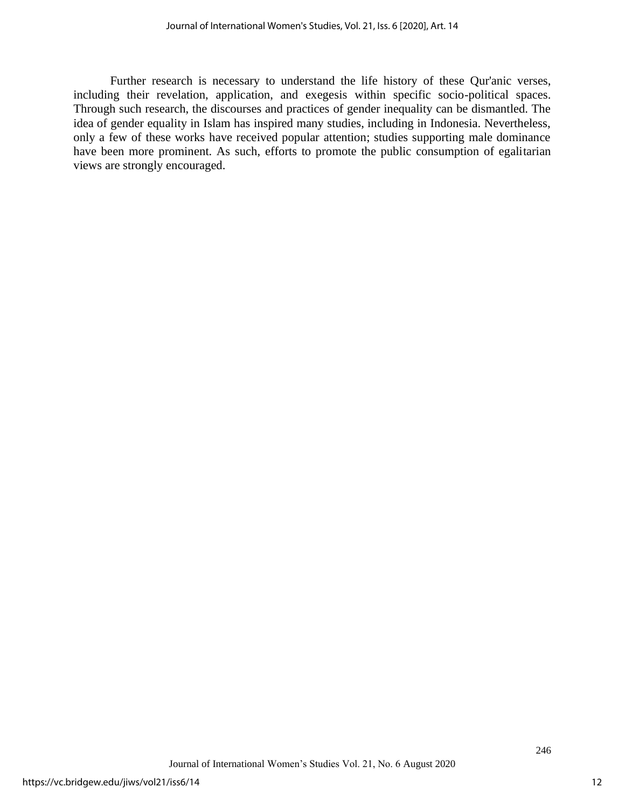Further research is necessary to understand the life history of these Qur'anic verses, including their revelation, application, and exegesis within specific socio-political spaces. Through such research, the discourses and practices of gender inequality can be dismantled. The idea of gender equality in Islam has inspired many studies, including in Indonesia. Nevertheless, only a few of these works have received popular attention; studies supporting male dominance have been more prominent. As such, efforts to promote the public consumption of egalitarian views are strongly encouraged.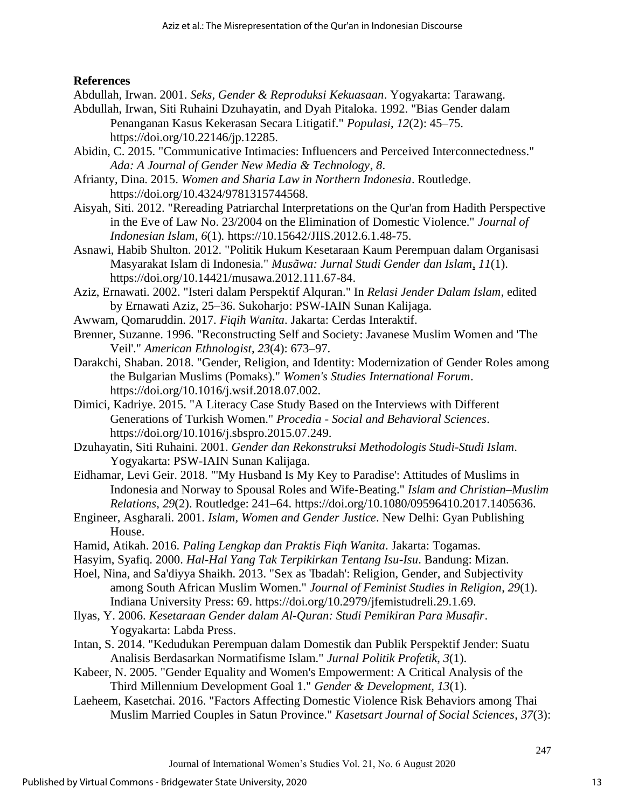# **References**

Abdullah, Irwan. 2001. *Seks, Gender & Reproduksi Kekuasaan*. Yogyakarta: Tarawang.

- Abdullah, Irwan, Siti Ruhaini Dzuhayatin, and Dyah Pitaloka. 1992. "Bias Gender dalam Penanganan Kasus Kekerasan Secara Litigatif." *Populasi*, *12*(2): 45–75. https://doi.org/10.22146/jp.12285.
- Abidin, C. 2015. "Communicative Intimacies: Influencers and Perceived Interconnectedness." *Ada: A Journal of Gender New Media & Technology*, *8*.
- Afrianty, Dina. 2015. *Women and Sharia Law in Northern Indonesia*. Routledge. https://doi.org/10.4324/9781315744568.
- Aisyah, Siti. 2012. "Rereading Patriarchal Interpretations on the Qur'an from Hadith Perspective in the Eve of Law No. 23/2004 on the Elimination of Domestic Violence." *Journal of Indonesian Islam*, *6*(1)*.* https://10.15642/JIIS.2012.6.1.48-75.
- Asnawi, Habib Shulton. 2012. "Politik Hukum Kesetaraan Kaum Perempuan dalam Organisasi Masyarakat Islam di Indonesia." *Musãwa: Jurnal Studi Gender dan Islam*, *11*(1). https://doi.org/10.14421/musawa.2012.111.67-84.
- Aziz, Ernawati. 2002. "Isteri dalam Perspektif Alquran." In *Relasi Jender Dalam Islam*, edited by Ernawati Aziz, 25–36. Sukoharjo: PSW-IAIN Sunan Kalijaga.
- Awwam, Qomaruddin. 2017. *Fiqih Wanita*. Jakarta: Cerdas Interaktif.
- Brenner, Suzanne. 1996. "Reconstructing Self and Society: Javanese Muslim Women and 'The Veil'." *American Ethnologist*, *23*(4): 673–97.
- Darakchi, Shaban. 2018. "Gender, Religion, and Identity: Modernization of Gender Roles among the Bulgarian Muslims (Pomaks)." *Women's Studies International Forum*. https://doi.org/10.1016/j.wsif.2018.07.002.
- Dimici, Kadriye. 2015. "A Literacy Case Study Based on the Interviews with Different Generations of Turkish Women." *Procedia - Social and Behavioral Sciences*. https://doi.org/10.1016/j.sbspro.2015.07.249.
- Dzuhayatin, Siti Ruhaini. 2001. *Gender dan Rekonstruksi Methodologis Studi-Studi Islam*. Yogyakarta: PSW-IAIN Sunan Kalijaga.
- Eidhamar, Levi Geir. 2018. "'My Husband Is My Key to Paradise': Attitudes of Muslims in Indonesia and Norway to Spousal Roles and Wife-Beating." *Islam and Christian–Muslim Relations*, *29*(2). Routledge: 241–64. https://doi.org/10.1080/09596410.2017.1405636.
- Engineer, Asgharali. 2001. *Islam, Women and Gender Justice*. New Delhi: Gyan Publishing House.
- Hamid, Atikah. 2016. *Paling Lengkap dan Praktis Fiqh Wanita*. Jakarta: Togamas.
- Hasyim, Syafiq. 2000. *Hal-Hal Yang Tak Terpikirkan Tentang Isu-Isu*. Bandung: Mizan.

Hoel, Nina, and Sa'diyya Shaikh. 2013. "Sex as 'Ibadah': Religion, Gender, and Subjectivity among South African Muslim Women." *Journal of Feminist Studies in Religion*, *29*(1). Indiana University Press: 69. https://doi.org/10.2979/jfemistudreli.29.1.69.

- Ilyas, Y. 2006. *Kesetaraan Gender dalam Al-Quran: Studi Pemikiran Para Musafir*. Yogyakarta: Labda Press.
- Intan, S. 2014. "Kedudukan Perempuan dalam Domestik dan Publik Perspektif Jender: Suatu Analisis Berdasarkan Normatifisme Islam." *Jurnal Politik Profetik*, *3*(1).
- Kabeer, N. 2005. "Gender Equality and Women's Empowerment: A Critical Analysis of the Third Millennium Development Goal 1." *Gender & Development, 13*(1).
- Laeheem, Kasetchai. 2016. "Factors Affecting Domestic Violence Risk Behaviors among Thai Muslim Married Couples in Satun Province." *Kasetsart Journal of Social Sciences*, *37*(3):